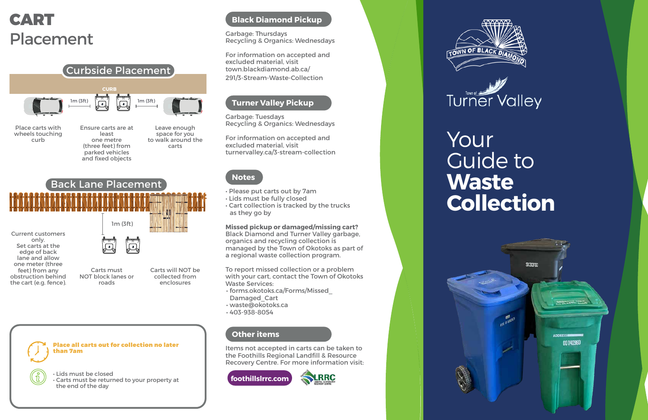# Your

# Guide to **Waste Collection**



## **Black Diamond Pickup**

Garbage: Thursdays Recycling & Organics: Wednesdays

For information on accepted and excluded material, visit town.blackdiamond.ab.ca/ 291/3-Stream-Waste-Collection

## **Turner Valley Pickup**

Garbage: Tuesdays Recycling & Organics: Wednesdays

For information on accepted and excluded material, visit turnervalley.ca/3-stream-collection

## **Notes**

- Please put carts out by 7am
- Lids must be fully closed
- Cart collection is tracked by the trucks as they go by

**Missed pickup or damaged/missing cart?** Black Diamond and Turner Valley garbage, organics and recycling collection is managed by the Town of Okotoks as part of a regional waste collection program.

To report missed collection or a problem with your cart, contact the Town of Okotoks Waste Services:

- forms.okotoks.ca/Forms/Missed\_ Damaged\_Cart
- waste@okotoks.ca
- 403-938-8054

## **Other items**

Items not accepted in carts can be taken to the Foothills Regional Landfill & Resource Recovery Centre. For more information visit:

RRC





## CART Placement

• Lids must be closed • Carts must be returned to your property at the end of the day





Place all carts out for collection no later than 7am



Current customers only. Set carts at the edge of back lane and allow one meter (three feet) from any obstruction behind the cart (e.g. fence).

Carts must NOT block lanes or roads

Carts will NOT be collected from enclosures

Back Lane Placement